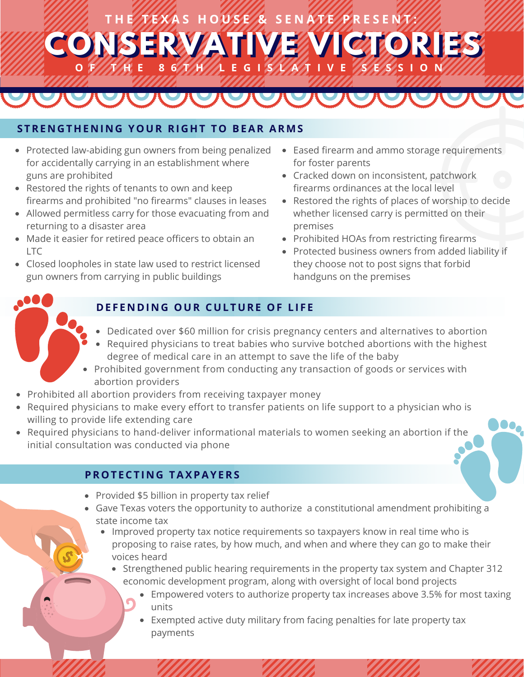# SHOUSE & SENATE CONSERVATIVE VICTORIES OF WARE 86 T/H//LEGIS/LATIVE SESSION

### **S TRE N G THE N I N G YOUR RI GHT TO BEAR ARMS**

- Protected law-abiding gun owners from being penalized for accidentally carrying in an establishment where guns are prohibited
- Restored the rights of tenants to own and keep firearms and prohibited "no firearms" clauses in leases
- Allowed permitless carry for those evacuating from and returning to a disaster area
- Made it easier for retired peace officers to obtain an  $ITC$
- Closed loopholes in state law used to restrict licensed gun owners from carrying in public buildings
- Eased firearm and ammo storage requirements for foster parents
- Cracked down on inconsistent, patchwork firearms ordinances at the local level
- Restored the rights of places of worship to decide whether licensed carry is permitted on their premises
- Prohibited HOAs from restricting firearms
- Protected business owners from added liability if they choose not to post signs that forbid handguns on the premises

## **D E F E N D I N G OUR CUL TURE OF L I F E**

- Dedicated over \$60 million for crisis pregnancy centers and alternatives to abortion
- Required physicians to treat babies who survive botched abortions with the highest degree of medical care in an attempt to save the life of the baby
- Prohibited government from conducting any transaction of goods or services with abortion providers
- Prohibited all abortion providers from receiving taxpayer money
- Required physicians to make every effort to transfer patients on life support to a physician who is willing to provide life extending care
- Required physicians to hand-deliver informational materials to women seeking an abortion if the initial consultation was conducted via phone

#### **PROT ECT I N G TAXPAYERS**

- Provided \$5 billion in property tax relief
- Gave Texas voters the opportunity to authorize a constitutional amendment prohibiting a state income tax
	- Improved property tax notice requirements so taxpayers know in real time who is proposing to raise rates, by how much, and when and where they can go to make their voices heard
		- Strengthened public hearing requirements in the property tax system and Chapter 312 economic development program, along with oversight of local bond projects
			- Empowered voters to authorize property tax increases above 3.5% for most taxing units
			- Exempted active duty military from facing penalties for late property tax payments